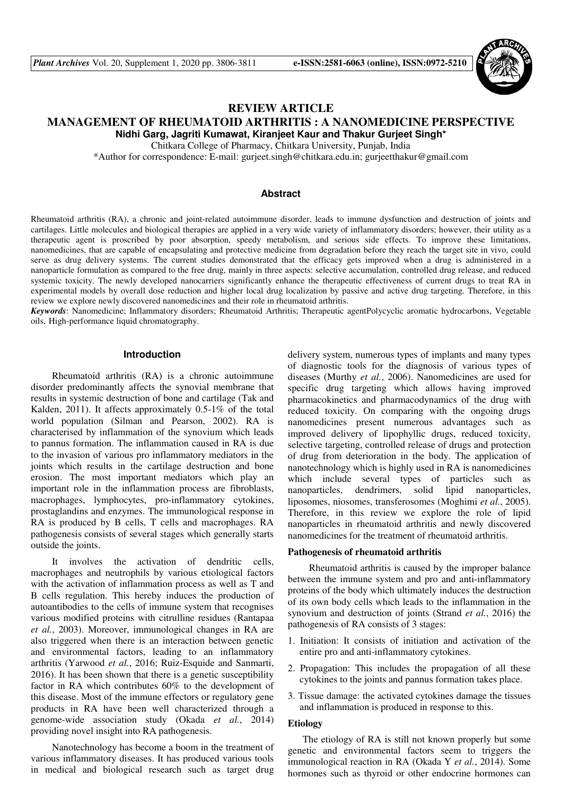

# **REVIEW ARTICLE**

### **MANAGEMENT OF RHEUMATOID ARTHRITIS : A NANOMEDICINE PERSPECTIVE Nidhi Garg, Jagriti Kumawat, Kiranjeet Kaur and Thakur Gurjeet Singh\***

Chitkara College of Pharmacy, Chitkara University, Punjab, India

\*Author for correspondence: E-mail: gurjeet.singh@chitkara.edu.in; gurjeetthakur@gmail.com

#### **Abstract**

Rheumatoid arthritis (RA), a chronic and joint-related autoimmune disorder, leads to immune dysfunction and destruction of joints and cartilages. Little molecules and biological therapies are applied in a very wide variety of inflammatory disorders; however, their utility as a therapeutic agent is proscribed by poor absorption, speedy metabolism, and serious side effects. To improve these limitations, nanomedicines, that are capable of encapsulating and protective medicine from degradation before they reach the target site in vivo, could serve as drug delivery systems. The current studies demonstrated that the efficacy gets improved when a drug is administered in a nanoparticle formulation as compared to the free drug, mainly in three aspects: selective accumulation, controlled drug release, and reduced systemic toxicity. The newly developed nanocarriers significantly enhance the therapeutic effectiveness of current drugs to treat RA in experimental models by overall dose reduction and higher local drug localization by passive and active drug targeting. Therefore, in this review we explore newly discovered nanomedicines and their role in rheumatoid arthritis.

*Keywords*: Nanomedicine; Inflammatory disorders; Rheumatoid Arthritis; Therapeutic agentPolycyclic aromatic hydrocarbons, Vegetable oils, High-performance liquid chromatography.

#### **Introduction**

Rheumatoid arthritis (RA) is a chronic autoimmune disorder predominantly affects the synovial membrane that results in systemic destruction of bone and cartilage (Tak and Kalden, 2011). It affects approximately 0.5-1% of the total world population (Silman and Pearson, 2002). RA is characterised by inflammation of the synovium which leads to pannus formation. The inflammation caused in RA is due to the invasion of various pro inflammatory mediators in the joints which results in the cartilage destruction and bone erosion. The most important mediators which play an important role in the inflammation process are fibroblasts, macrophages, lymphocytes, pro-inflammatory cytokines, prostaglandins and enzymes. The immunological response in RA is produced by B cells, T cells and macrophages. RA pathogenesis consists of several stages which generally starts outside the joints.

It involves the activation of dendritic cells, macrophages and neutrophils by various etiological factors with the activation of inflammation process as well as T and B cells regulation. This hereby induces the production of autoantibodies to the cells of immune system that recognises various modified proteins with citrulline residues (Rantapaa *et al.*, 2003). Moreover, immunological changes in RA are also triggered when there is an interaction between genetic and environmental factors, leading to an inflammatory arthritis (Yarwood *et al.*, 2016; Ruiz-Esquide and Sanmarti, 2016). It has been shown that there is a genetic susceptibility factor in RA which contributes 60% to the development of this disease. Most of the immune effectors or regulatory gene products in RA have been well characterized through a genome-wide association study (Okada *et al.*, 2014) providing novel insight into RA pathogenesis.

Nanotechnology has become a boom in the treatment of various inflammatory diseases. It has produced various tools in medical and biological research such as target drug delivery system, numerous types of implants and many types of diagnostic tools for the diagnosis of various types of diseases (Murthy *et al.*, 2006). Nanomedicines are used for specific drug targeting which allows having improved pharmacokinetics and pharmacodynamics of the drug with reduced toxicity. On comparing with the ongoing drugs nanomedicines present numerous advantages such as improved delivery of lipophyllic drugs, reduced toxicity, selective targeting, controlled release of drugs and protection of drug from deterioration in the body. The application of nanotechnology which is highly used in RA is nanomedicines which include several types of particles such as nanoparticles, dendrimers, solid lipid nanoparticles, liposomes, niosomes, transferosomes (Moghimi *et al.*, 2005). Therefore, in this review we explore the role of lipid nanoparticles in rheumatoid arthritis and newly discovered nanomedicines for the treatment of rheumatoid arthritis.

#### **Pathogenesis of rheumatoid arthritis**

Rheumatoid arthritis is caused by the improper balance between the immune system and pro and anti-inflammatory proteins of the body which ultimately induces the destruction of its own body cells which leads to the inflammation in the synovium and destruction of joints (Strand *et al.*, 2016) the pathogenesis of RA consists of 3 stages:

- 1. Initiation: It consists of initiation and activation of the entire pro and anti-inflammatory cytokines.
- 2. Propagation: This includes the propagation of all these cytokines to the joints and pannus formation takes place.
- 3. Tissue damage: the activated cytokines damage the tissues and inflammation is produced in response to this.

#### **Etiology**

 The etiology of RA is still not known properly but some genetic and environmental factors seem to triggers the immunological reaction in RA (Okada Y *et al.*, 2014). Some hormones such as thyroid or other endocrine hormones can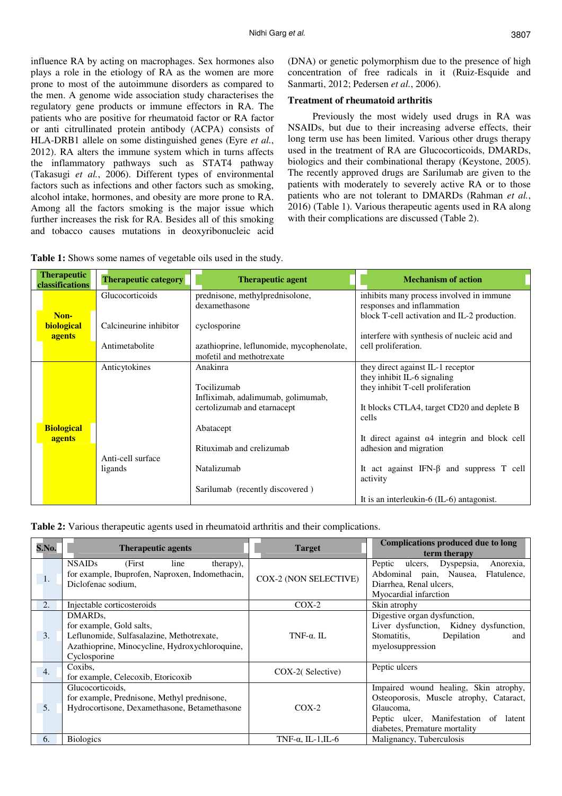influence RA by acting on macrophages. Sex hormones also plays a role in the etiology of RA as the women are more prone to most of the autoimmune disorders as compared to the men. A genome wide association study characterises the regulatory gene products or immune effectors in RA. The patients who are positive for rheumatoid factor or RA factor or anti citrullinated protein antibody (ACPA) consists of HLA-DRB1 allele on some distinguished genes (Eyre *et al.*, 2012). RA alters the immune system which in turns affects the inflammatory pathways such as STAT4 pathway (Takasugi *et al.*, 2006). Different types of environmental factors such as infections and other factors such as smoking, alcohol intake, hormones, and obesity are more prone to RA. Among all the factors smoking is the major issue which further increases the risk for RA. Besides all of this smoking and tobacco causes mutations in deoxyribonucleic acid

(DNA) or genetic polymorphism due to the presence of high concentration of free radicals in it (Ruiz-Esquide and Sanmarti, 2012; Pedersen *et al.*, 2006).

#### **Treatment of rheumatoid arthritis**

 Previously the most widely used drugs in RA was NSAIDs, but due to their increasing adverse effects, their long term use has been limited. Various other drugs therapy used in the treatment of RA are Glucocorticoids, DMARDs, biologics and their combinational therapy (Keystone, 2005). The recently approved drugs are Sarilumab are given to the patients with moderately to severely active RA or to those patients who are not tolerant to DMARDs (Rahman *et al.*, 2016) (Table 1). Various therapeutic agents used in RA along with their complications are discussed (Table 2).

| <b>Therapeutic</b><br>classifications | <b>Therapeutic category</b> | <b>Therapeutic agent</b>                  |          | <b>Mechanism of action</b>                           |
|---------------------------------------|-----------------------------|-------------------------------------------|----------|------------------------------------------------------|
|                                       | Glucocorticoids             | prednisone, methylprednisolone,           |          | inhibits many process involved in immune             |
|                                       |                             | dexamethasone                             |          | responses and inflammation                           |
| Non-                                  |                             |                                           |          | block T-cell activation and IL-2 production.         |
| <b>biological</b>                     | Calcineurine inhibitor      | cyclosporine                              |          |                                                      |
| agents                                |                             |                                           |          | interfere with synthesis of nucleic acid and         |
|                                       | Antimetabolite              | azathioprine, leflunomide, mycophenolate, |          | cell proliferation.                                  |
|                                       |                             | mofetil and methotrexate                  |          |                                                      |
|                                       | Anticytokines               | Anakinra                                  |          | they direct against IL-1 receptor                    |
|                                       |                             |                                           |          | they inhibit IL-6 signaling                          |
|                                       |                             | Tocilizumab                               |          | they inhibit T-cell proliferation                    |
|                                       |                             | Infliximab, adalimumab, golimumab,        |          |                                                      |
|                                       |                             | certolizumab and etarnacept               | cells    | It blocks CTLA4, target CD20 and deplete B           |
| <b>Biological</b>                     |                             | Abatacept                                 |          |                                                      |
| agents                                |                             |                                           |          | It direct against $\alpha$ 4 integrin and block cell |
|                                       |                             | Rituximab and crelizumab                  |          | adhesion and migration                               |
|                                       | Anti-cell surface           |                                           |          |                                                      |
|                                       | ligands                     | Natalizumab                               | activity | It act against IFN- $\beta$ and suppress T cell      |
|                                       |                             | Sarilumab (recently discovered)           |          |                                                      |
|                                       |                             |                                           |          | It is an interleukin- $6$ (IL- $6$ ) antagonist.     |

**Table 1:** Shows some names of vegetable oils used in the study.

**Table 2:** Various therapeutic agents used in rheumatoid arthritis and their complications.

| S.No.            | <b>Therapeutic agents</b>                                                                                                                                       | <b>Target</b>              | <b>Complications produced due to long</b><br>term therapy                                                                                                               |  |  |
|------------------|-----------------------------------------------------------------------------------------------------------------------------------------------------------------|----------------------------|-------------------------------------------------------------------------------------------------------------------------------------------------------------------------|--|--|
| 1.               | <b>NSAIDs</b><br>(First)<br>therapy),<br>line<br>for example, Ibuprofen, Naproxen, Indomethacin,<br>Diclofenac sodium,                                          | COX-2 (NON SELECTIVE)      | Peptic ulcers,<br>Dyspepsia,<br>Anorexia,<br>Abdominal pain, Nausea,<br>Flatulence,<br>Diarrhea, Renal ulcers,<br>Myocardial infarction                                 |  |  |
| $\overline{2}$ . | Injectable corticosteroids                                                                                                                                      | $COX-2$                    | Skin atrophy                                                                                                                                                            |  |  |
| 3.               | DMARD <sub>s</sub> ,<br>for example, Gold salts,<br>Leflunomide, Sulfasalazine, Methotrexate,<br>Azathioprine, Minocycline, Hydroxychloroquine,<br>Cyclosporine | TNF- $\alpha$ . IL         | Digestive organ dysfunction,<br>Liver dysfunction, Kidney dysfunction,<br>Depilation<br>Stomatitis,<br>and<br>myelosuppression                                          |  |  |
| $\overline{4}$ . | Coxibs.<br>for example, Celecoxib, Etoricoxib                                                                                                                   | COX-2(Selective)           | Peptic ulcers                                                                                                                                                           |  |  |
| 5.               | Glucocorticoids,<br>for example, Prednisone, Methyl prednisone,<br>Hydrocortisone, Dexamethasone, Betamethasone                                                 | $COX-2$                    | Impaired wound healing, Skin atrophy,<br>Osteoporosis, Muscle atrophy, Cataract,<br>Glaucoma,<br>Peptic ulcer, Manifestation of latent<br>diabetes, Premature mortality |  |  |
| 6.               | <b>Biologics</b>                                                                                                                                                | TNF- $\alpha$ , IL-1, IL-6 | Malignancy, Tuberculosis                                                                                                                                                |  |  |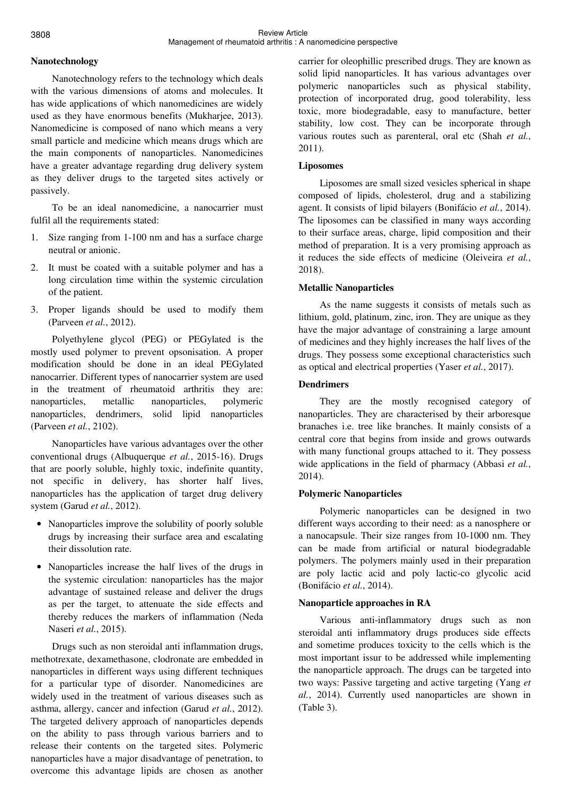## **Nanotechnology**

Nanotechnology refers to the technology which deals with the various dimensions of atoms and molecules. It has wide applications of which nanomedicines are widely used as they have enormous benefits (Mukharjee, 2013). Nanomedicine is composed of nano which means a very small particle and medicine which means drugs which are the main components of nanoparticles. Nanomedicines have a greater advantage regarding drug delivery system as they deliver drugs to the targeted sites actively or passively.

To be an ideal nanomedicine, a nanocarrier must fulfil all the requirements stated:

- 1. Size ranging from 1-100 nm and has a surface charge neutral or anionic.
- 2. It must be coated with a suitable polymer and has a long circulation time within the systemic circulation of the patient.
- 3. Proper ligands should be used to modify them (Parveen *et al.*, 2012).

Polyethylene glycol (PEG) or PEGylated is the mostly used polymer to prevent opsonisation. A proper modification should be done in an ideal PEGylated nanocarrier. Different types of nanocarrier system are used in the treatment of rheumatoid arthritis they are: nanoparticles, metallic nanoparticles, polymeric nanoparticles, dendrimers, solid lipid nanoparticles (Parveen *et al.*, 2102).

Nanoparticles have various advantages over the other conventional drugs (Albuquerque *et al.*, 2015-16). Drugs that are poorly soluble, highly toxic, indefinite quantity, not specific in delivery, has shorter half lives, nanoparticles has the application of target drug delivery system (Garud *et al.*, 2012).

- Nanoparticles improve the solubility of poorly soluble drugs by increasing their surface area and escalating their dissolution rate.
- Nanoparticles increase the half lives of the drugs in the systemic circulation: nanoparticles has the major advantage of sustained release and deliver the drugs as per the target, to attenuate the side effects and thereby reduces the markers of inflammation (Neda Naseri *et al.*, 2015).

Drugs such as non steroidal anti inflammation drugs, methotrexate, dexamethasone, clodronate are embedded in nanoparticles in different ways using different techniques for a particular type of disorder. Nanomedicines are widely used in the treatment of various diseases such as asthma, allergy, cancer and infection (Garud *et al.*, 2012). The targeted delivery approach of nanoparticles depends on the ability to pass through various barriers and to release their contents on the targeted sites. Polymeric nanoparticles have a major disadvantage of penetration, to overcome this advantage lipids are chosen as another carrier for oleophillic prescribed drugs. They are known as solid lipid nanoparticles. It has various advantages over polymeric nanoparticles such as physical stability, protection of incorporated drug, good tolerability, less toxic, more biodegradable, easy to manufacture, better stability, low cost. They can be incorporate through various routes such as parenteral, oral etc (Shah et al., 2011).

## **Liposomes**

Liposomes are small sized vesicles spherical in shape composed of lipids, cholesterol, drug and a stabilizing agent. It consists of lipid bilayers (Bonifácio *et al.*, 2014). The liposomes can be classified in many ways according to their surface areas, charge, lipid composition and their method of preparation. It is a very promising approach as it reduces the side effects of medicine (Oleiveira *et al.*, 2018).

## **Metallic Nanoparticles**

As the name suggests it consists of metals such as lithium, gold, platinum, zinc, iron. They are unique as they have the major advantage of constraining a large amount of medicines and they highly increases the half lives of the drugs. They possess some exceptional characteristics such as optical and electrical properties (Yaser *et al.*, 2017).

## **Dendrimers**

They are the mostly recognised category of nanoparticles. They are characterised by their arboresque branaches i.e. tree like branches. It mainly consists of a central core that begins from inside and grows outwards with many functional groups attached to it. They possess wide applications in the field of pharmacy (Abbasi *et al.*, 2014).

## **Polymeric Nanoparticles**

Polymeric nanoparticles can be designed in two different ways according to their need: as a nanosphere or a nanocapsule. Their size ranges from 10-1000 nm. They can be made from artificial or natural biodegradable polymers. The polymers mainly used in their preparation are poly lactic acid and poly lactic-co glycolic acid (Bonifácio *et al.*, 2014).

# **Nanoparticle approaches in RA**

Various anti-inflammatory drugs such as non steroidal anti inflammatory drugs produces side effects and sometime produces toxicity to the cells which is the most important issur to be addressed while implementing the nanoparticle approach. The drugs can be targeted into two ways: Passive targeting and active targeting (Yang *et al.*, 2014). Currently used nanoparticles are shown in (Table 3).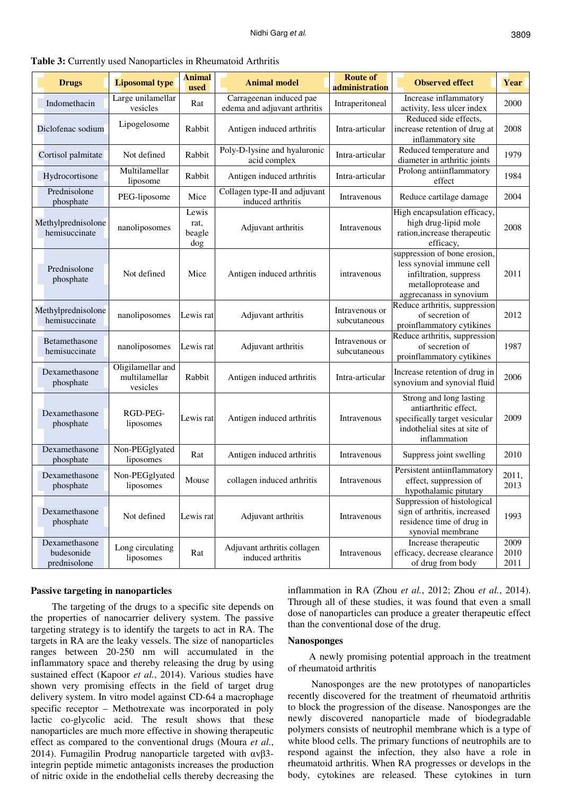| <b>Drugs</b>                                | <b>Liposomal type</b>                          | <b>Animal</b><br>used          | <b>Animal model</b>                                     | <b>Route of</b><br>administration | <b>Observed effect</b>                                                                                                                | Year                 |
|---------------------------------------------|------------------------------------------------|--------------------------------|---------------------------------------------------------|-----------------------------------|---------------------------------------------------------------------------------------------------------------------------------------|----------------------|
| Indomethacin                                | Large unilamellar<br>vesicles                  | Rat                            | Carrageenan induced pae<br>edema and adjuvant arthritis | Intraperitoneal                   | Increase inflammatory<br>activity, less ulcer index                                                                                   | 2000                 |
| Diclofenac sodium                           | Lipogelosome                                   | Rabbit                         | Antigen induced arthritis                               | Intra-articular                   | Reduced side effects,<br>increase retention of drug at<br>inflammatory site                                                           | 2008                 |
| Cortisol palmitate                          | Not defined                                    | Rabbit                         | Poly-D-lysine and hyaluronic<br>acid complex            | Intra-articular                   | Reduced temperature and<br>diameter in arthritic joints                                                                               | 1979                 |
| Hydrocortisone                              | Multilamellar<br>liposome                      | Rabbit                         | Antigen induced arthritis                               | Intra-articular                   | Prolong antiinflammatory<br>effect                                                                                                    | 1984                 |
| Prednisolone<br>phosphate                   | PEG-liposome                                   | Mice                           | Collagen type-II and adjuvant<br>induced arthritis      | Intravenous                       | Reduce cartilage damage                                                                                                               | 2004                 |
| Methylprednisolone<br>hemisuccinate         | nanoliposomes                                  | Lewis<br>rat,<br>beagle<br>dog | Adjuvant arthritis                                      | Intravenous                       | High encapsulation efficacy,<br>high drug-lipid mole<br>ration, increase therapeutic<br>efficacy,                                     | 2008                 |
| Prednisolone<br>phosphate                   | Not defined                                    | Mice                           | Antigen induced arthritis                               | intravenous                       | suppression of bone erosion,<br>less synovial immune cell<br>infiltration, suppress<br>metalloprotease and<br>aggrecanass in synovium | 2011                 |
| Methylprednisolone<br>hemisuccinate         | nanoliposomes                                  | Lewis rat                      | Adjuvant arthritis                                      | Intravenous or<br>subcutaneous    | Reduce arthritis, suppression<br>of secretion of<br>proinflammatory cytikines                                                         | 2012                 |
| Betamethasone<br>hemisuccinate              | nanoliposomes                                  | Lewis rat                      | Adjuvant arthritis                                      | Intravenous or<br>subcutaneous    | Reduce arthritis, suppression<br>of secretion of<br>proinflammatory cytikines                                                         | 1987                 |
| Dexamethasone<br>phosphate                  | Oligilamellar and<br>multilamellar<br>vesicles | Rabbit                         | Antigen induced arthritis                               | Intra-articular                   | Increase retention of drug in<br>synovium and synovial fluid                                                                          | 2006                 |
| Dexamethasone<br>phosphate                  | RGD-PEG-<br>liposomes                          | Lewis rat                      | Antigen induced arthritis                               | Intravenous                       | Strong and long lasting<br>antiarthritic effect,<br>specifically target vesicular<br>indothelial sites at site of<br>inflammation     | 2009                 |
| Dexamethasone<br>phosphate                  | Non-PEGglyated<br>liposomes                    | Rat                            | Antigen induced arthritis                               | Intravenous                       | Suppress joint swelling                                                                                                               | 2010                 |
| Dexamethasone<br>phosphate                  | Non-PEGglyated<br>liposomes                    | Mouse                          | collagen induced arthritis                              | Intravenous                       | Persistent antiinflammatory<br>effect, suppression of<br>hypothalamic pitutary                                                        | 2011,<br>2013        |
| Dexamethasone<br>phosphate                  | Not defined                                    | Lewis rat                      | Adjuvant arthritis                                      | Intravenous                       | Suppression of histological<br>sign of arthritis, increased<br>residence time of drug in<br>synovial membrane                         | 1993                 |
| Dexamethasone<br>budesonide<br>prednisolone | Long circulating<br>liposomes                  | Rat                            | Adjuvant arthritis collagen<br>induced arthritis        | Intravenous                       | Increase therapeutic<br>efficacy, decrease clearance<br>of drug from body                                                             | 2009<br>2010<br>2011 |

**Table 3:** Currently used Nanoparticles in Rheumatoid Arthritis

#### **Passive targeting in nanoparticles**

The targeting of the drugs to a specific site depends on the properties of nanocarrier delivery system. The passive targeting strategy is to identify the targets to act in RA. The targets in RA are the leaky vessels. The size of nanoparticles ranges between 20-250 nm will accumulated in the inflammatory space and thereby releasing the drug by using sustained effect (Kapoor *et al.*, 2014). Various studies have shown very promising effects in the field of target drug delivery system. In vitro model against CD-64 a macrophage specific receptor – Methotrexate was incorporated in poly lactic co-glycolic acid. The result shows that these nanoparticles are much more effective in showing therapeutic effect as compared to the conventional drugs (Moura *et al.*, 2014). Fumagilin Prodrug nanoparticle targeted with αvβ3 integrin peptide mimetic antagonists increases the production of nitric oxide in the endothelial cells thereby decreasing the

inflammation in RA (Zhou *et al.*, 2012; Zhou *et al.*, 2014). Through all of these studies, it was found that even a small dose of nanoparticles can produce a greater therapeutic effect than the conventional dose of the drug.

#### **Nanosponges**

A newly promising potential approach in the treatment of rheumatoid arthritis

 Nanosponges are the new prototypes of nanoparticles recently discovered for the treatment of rheumatoid arthritis to block the progression of the disease. Nanosponges are the newly discovered nanoparticle made of biodegradable polymers consists of neutrophil membrane which is a type of white blood cells. The primary functions of neutrophils are to respond against the infection, they also have a role in rheumatoid arthritis. When RA progresses or develops in the body, cytokines are released. These cytokines in turn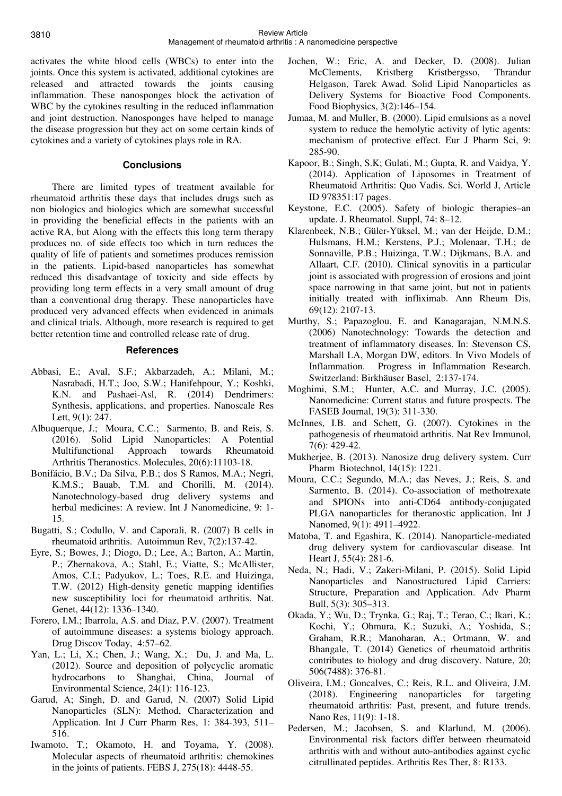activates the white blood cells (WBCs) to enter into the joints. Once this system is activated, additional cytokines are released and attracted towards the joints causing inflammation. These nanosponges block the activation of WBC by the cytokines resulting in the reduced inflammation and joint destruction. Nanosponges have helped to manage the disease progression but they act on some certain kinds of cytokines and a variety of cytokines plays role in RA.

### **Conclusions**

There are limited types of treatment available for rheumatoid arthritis these days that includes drugs such as non biologics and biologics which are somewhat successful in providing the beneficial effects in the patients with an active RA, but Along with the effects this long term therapy produces no. of side effects too which in turn reduces the quality of life of patients and sometimes produces remission in the patients. Lipid-based nanoparticles has somewhat reduced this disadvantage of toxicity and side effects by providing long term effects in a very small amount of drug than a conventional drug therapy. These nanoparticles have produced very advanced effects when evidenced in animals and clinical trials. Although, more research is required to get better retention time and controlled release rate of drug.

#### **References**

- Abbasi, E.; Aval, S.F.; Akbarzadeh, A.; Milani, M.; Nasrabadi, H.T.; Joo, S.W.; Hanifehpour, Y.; Koshki, K.N. and Pashaei-Asl, R. (2014) Dendrimers: Synthesis, applications, and properties. Nanoscale Res Lett, 9(1): 247.
- Albuquerque, J.; Moura, C.C.; Sarmento, B. and Reis, S. (2016). Solid Lipid Nanoparticles: A Potential Multifunctional Approach towards Rheumatoid Arthritis Theranostics. Molecules, 20(6):11103-18.
- Bonifácio, B.V.; Da Silva, P.B.; dos S Ramos, M.A.; Negri, K.M.S.; Bauab, T.M. and Chorilli, M. (2014). Nanotechnology-based drug delivery systems and herbal medicines: A review. Int J Nanomedicine, 9: 1- 15.
- Bugatti, S.; Codullo, V. and Caporali, R. (2007) B cells in rheumatoid arthritis. Autoimmun Rev, 7(2):137-42.
- Eyre, S.; Bowes, J.; Diogo, D.; Lee, A.; Barton, A.; Martin, P.; Zhernakova, A.; Stahl, E.; Viatte, S.; McAllister, Amos, C.I.; Padyukov, L.; Toes, R.E. and Huizinga, T.W. (2012) High-density genetic mapping identifies new susceptibility loci for rheumatoid arthritis. Nat. Genet, 44(12): 1336–1340.
- Forero, I.M.; Ibarrola, A.S. and Diaz, P.V. (2007). Treatment of autoimmune diseases: a systems biology approach. Drug Discov Today, 4:57–62.
- Yan, L.; Li, X.; Chen, J.; Wang, X.; Du, J. and Ma, L. (2012). Source and deposition of polycyclic aromatic hydrocarbons to Shanghai, China, Journal of Environmental Science, 24(1): 116-123.
- Garud, A; Singh, D. and Garud, N. (2007) Solid Lipid Nanoparticles (SLN): Method, Characterization and Application. Int J Curr Pharm Res, 1: 384-393, 511– 516.
- Iwamoto, T.; Okamoto, H. and Toyama, Y. (2008). Molecular aspects of rheumatoid arthritis: chemokines in the joints of patients. FEBS J, 275(18): 4448-55.
- Jochen, W.; Eric, A. and Decker, D. (2008). Julian McClements, Kristberg Kristbergsso, Thrandur Helgason, Tarek Awad. Solid Lipid Nanoparticles as Delivery Systems for Bioactive Food Components. Food Biophysics, 3(2):146–154.
- Jumaa, M. and Muller, B. (2000). Lipid emulsions as a novel system to reduce the hemolytic activity of lytic agents: mechanism of protective effect. Eur J Pharm Sci, 9: 285-90.
- Kapoor, B.; Singh, S.K; Gulati, M.; Gupta, R. and Vaidya, Y. (2014). Application of Liposomes in Treatment of Rheumatoid Arthritis: Quo Vadis. Sci. World J, Article ID 978351:17 pages.
- Keystone, E.C. (2005). Safety of biologic therapies–an update. J. Rheumatol. Suppl, 74: 8–12.
- Klarenbeek, N.B.; Güler-Yüksel, M.; van der Heijde, D.M.; Hulsmans, H.M.; Kerstens, P.J.; Molenaar, T.H.; de Sonnaville, P.B.; Huizinga, T.W.; Dijkmans, B.A. and Allaart, C.F. (2010). Clinical synovitis in a particular joint is associated with progression of erosions and joint space narrowing in that same joint, but not in patients initially treated with infliximab. Ann Rheum Dis, 69(12): 2107-13.
- Murthy, S.; Papazoglou, E. and Kanagarajan, N.M.N.S. (2006) Nanotechnology: Towards the detection and treatment of inflammatory diseases. In: Stevenson CS, Marshall LA, Morgan DW, editors. In Vivo Models of Inflammation. Progress in Inflammation Research. Switzerland: Birkhäuser Basel, 2:137-174.
- Moghimi, S.M.; Hunter, A.C. and Murray, J.C. (2005). Nanomedicine: Current status and future prospects. The FASEB Journal, 19(3): 311-330.
- McInnes, I.B. and Schett, G. (2007). Cytokines in the pathogenesis of rheumatoid arthritis. Nat Rev Immunol, 7(6): 429-42.
- Mukherjee, B. (2013). Nanosize drug delivery system. Curr Pharm Biotechnol, 14(15): 1221.
- Moura, C.C.; Segundo, M.A.; das Neves, J.; Reis, S. and Sarmento, B. (2014). Co-association of methotrexate and SPIONs into anti-CD64 antibody-conjugated PLGA nanoparticles for theranostic application. Int J Nanomed, 9(1): 4911–4922.
- Matoba, T. and Egashira, K. (2014). Nanoparticle-mediated drug delivery system for cardiovascular disease. Int Heart J, 55(4): 281-6.
- Neda, N.; Hadi, V.; Zakeri-Milani, P. (2015). Solid Lipid Nanoparticles and Nanostructured Lipid Carriers: Structure, Preparation and Application. Adv Pharm Bull, 5(3): 305–313.
- Okada, Y.; Wu, D.; Trynka, G.; Raj, T.; Terao, C.; Ikari, K.; Kochi, Y.; Ohmura, K.; Suzuki, A.; Yoshida, S.; Graham, R.R.; Manoharan, A.; Ortmann, W. and Bhangale, T. (2014) Genetics of rheumatoid arthritis contributes to biology and drug discovery. Nature, 20; 506(7488): 376-81.
- Oliveira, I.M.; Goncalves, C.; Reis, R.L. and Oliveira, J.M. (2018). Engineering nanoparticles for targeting rheumatoid arthritis: Past, present, and future trends. Nano Res, 11(9): 1-18.
- Pedersen, M.; Jacobsen, S. and Klarlund, M. (2006). Environmental risk factors differ between rheumatoid arthritis with and without auto-antibodies against cyclic citrullinated peptides. Arthritis Res Ther, 8: R133.